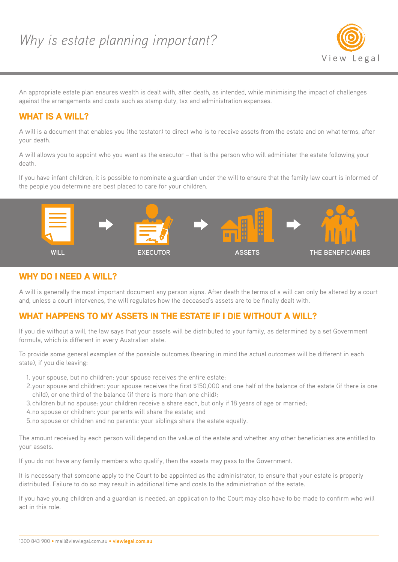

An appropriate estate plan ensures wealth is dealt with, after death, as intended, while minimising the impact of challenges against the arrangements and costs such as stamp duty, tax and administration expenses.

## WHAT IS A WILL?

A will is a document that enables you (the testator) to direct who is to receive assets from the estate and on what terms, after your death.

A will allows you to appoint who you want as the executor – that is the person who will administer the estate following your death.

If you have infant children, it is possible to nominate a guardian under the will to ensure that the family law court is informed of the people you determine are best placed to care for your children.



#### WHY DO I NEED A WILL?

A will is generally the most important document any person signs. After death the terms of a will can only be altered by a court and, unless a court intervenes, the will regulates how the deceased's assets are to be finally dealt with.

## WHAT HAPPENS TO MY ASSETS IN THE ESTATE IF I DIE WITHOUT A WILL?

If you die without a will, the law says that your assets will be distributed to your family, as determined by a set Government formula, which is different in every Australian state.

To provide some general examples of the possible outcomes (bearing in mind the actual outcomes will be different in each state), if you die leaving:

- 1. your spouse, but no children: your spouse receives the entire estate;
- 2.your spouse and children: your spouse receives the first \$150,000 and one half of the balance of the estate (if there is one child), or one third of the balance (if there is more than one child);
- 3.children but no spouse: your children receive a share each, but only if 18 years of age or married;
- 4.no spouse or children: your parents will share the estate; and
- 5.no spouse or children and no parents: your siblings share the estate equally.

The amount received by each person will depend on the value of the estate and whether any other beneficiaries are entitled to your assets.

If you do not have any family members who qualify, then the assets may pass to the Government.

It is necessary that someone apply to the Court to be appointed as the administrator, to ensure that your estate is properly distributed. Failure to do so may result in additional time and costs to the administration of the estate.

If you have young children and a guardian is needed, an application to the Court may also have to be made to confirm who will act in this role.